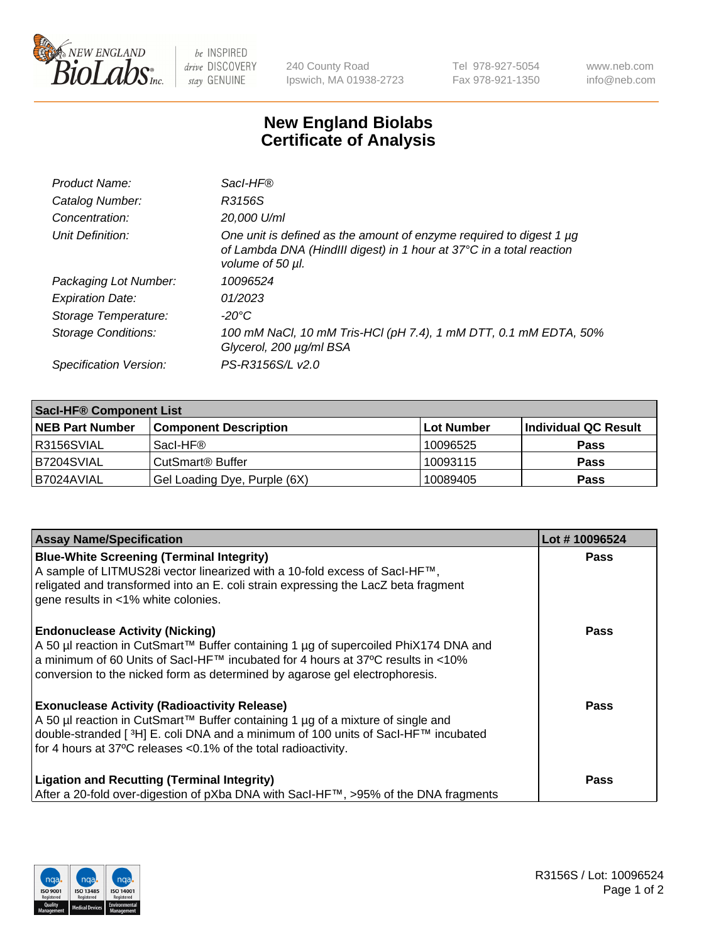

 $be$  INSPIRED drive DISCOVERY stay GENUINE

240 County Road Ipswich, MA 01938-2723 Tel 978-927-5054 Fax 978-921-1350 www.neb.com info@neb.com

## **New England Biolabs Certificate of Analysis**

| Product Name:              | Sacl-HF®                                                                                                                                                        |
|----------------------------|-----------------------------------------------------------------------------------------------------------------------------------------------------------------|
| Catalog Number:            | R3156S                                                                                                                                                          |
| Concentration:             | 20,000 U/ml                                                                                                                                                     |
| Unit Definition:           | One unit is defined as the amount of enzyme required to digest 1 µg<br>of Lambda DNA (HindIII digest) in 1 hour at 37°C in a total reaction<br>volume of 50 µl. |
| Packaging Lot Number:      | 10096524                                                                                                                                                        |
| <b>Expiration Date:</b>    | 01/2023                                                                                                                                                         |
| Storage Temperature:       | $-20^{\circ}$ C                                                                                                                                                 |
| <b>Storage Conditions:</b> | 100 mM NaCl, 10 mM Tris-HCl (pH 7.4), 1 mM DTT, 0.1 mM EDTA, 50%<br>Glycerol, 200 µg/ml BSA                                                                     |
| Specification Version:     | PS-R3156S/L v2.0                                                                                                                                                |

| <b>Saci-HF® Component List</b> |                              |             |                      |  |  |
|--------------------------------|------------------------------|-------------|----------------------|--|--|
| <b>NEB Part Number</b>         | <b>Component Description</b> | ∣Lot Number | Individual QC Result |  |  |
| I R3156SVIAL                   | Sacl-HF®                     | 10096525    | <b>Pass</b>          |  |  |
| IB7204SVIAL                    | CutSmart <sup>®</sup> Buffer | 10093115    | <b>Pass</b>          |  |  |
| B7024AVIAL                     | Gel Loading Dye, Purple (6X) | 10089405    | <b>Pass</b>          |  |  |

| <b>Assay Name/Specification</b>                                                                                                                                                                                                                                                                            | Lot #10096524 |
|------------------------------------------------------------------------------------------------------------------------------------------------------------------------------------------------------------------------------------------------------------------------------------------------------------|---------------|
| <b>Blue-White Screening (Terminal Integrity)</b><br>A sample of LITMUS28i vector linearized with a 10-fold excess of SacI-HF™,<br>religated and transformed into an E. coli strain expressing the LacZ beta fragment<br>gene results in <1% white colonies.                                                | <b>Pass</b>   |
| <b>Endonuclease Activity (Nicking)</b><br>A 50 µl reaction in CutSmart™ Buffer containing 1 µg of supercoiled PhiX174 DNA and<br>a minimum of 60 Units of Sacl-HF™ incubated for 4 hours at 37°C results in <10%<br>conversion to the nicked form as determined by agarose gel electrophoresis.            | Pass          |
| <b>Exonuclease Activity (Radioactivity Release)</b><br>A 50 µl reaction in CutSmart™ Buffer containing 1 µg of a mixture of single and<br>double-stranded [ <sup>3</sup> H] E. coli DNA and a minimum of 100 units of Sacl-HF™ incubated<br>for 4 hours at 37°C releases <0.1% of the total radioactivity. | Pass          |
| <b>Ligation and Recutting (Terminal Integrity)</b><br>After a 20-fold over-digestion of pXba DNA with Sacl-HF™, >95% of the DNA fragments                                                                                                                                                                  | Pass          |